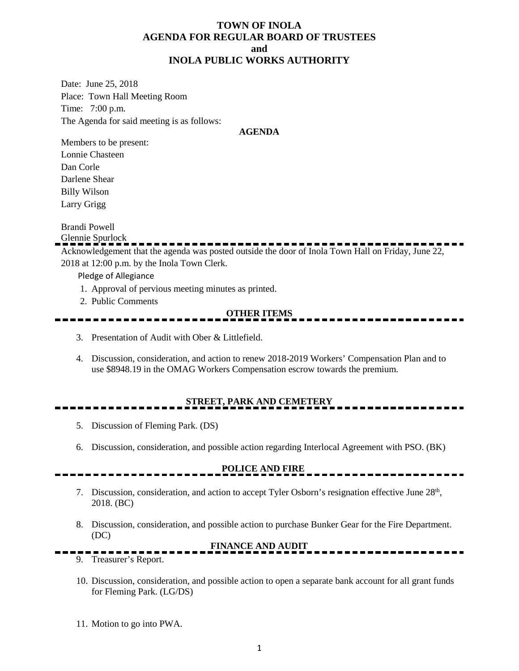#### **TOWN OF INOLA AGENDA FOR REGULAR BOARD OF TRUSTEES and INOLA PUBLIC WORKS AUTHORITY**

Date: June 25, 2018 Place: Town Hall Meeting Room Time: 7:00 p.m. The Agenda for said meeting is as follows:

#### **AGENDA**

Members to be present: Lonnie Chasteen Dan Corle Darlene Shear Billy Wilson Larry Grigg

Brandi Powell

Glennie Spurlock

Acknowledgement that the agenda was posted outside the door of Inola Town Hall on Friday, June 22, 2018 at 12:00 p.m. by the Inola Town Clerk.

Pledge of Allegiance

- 1. Approval of pervious meeting minutes as printed.
- 2. Public Comments

#### **OTHER ITEMS**

- 3. Presentation of Audit with Ober & Littlefield.
- 4. Discussion, consideration, and action to renew 2018-2019 Workers' Compensation Plan and to use \$8948.19 in the OMAG Workers Compensation escrow towards the premium.

### **STREET, PARK AND CEMETERY**

- 5. Discussion of Fleming Park. (DS)
- 6. Discussion, consideration, and possible action regarding Interlocal Agreement with PSO. (BK)

## **POLICE AND FIRE**

- 7. Discussion, consideration, and action to accept Tyler Osborn's resignation effective June 28<sup>th</sup>, 2018. (BC)
- 8. Discussion, consideration, and possible action to purchase Bunker Gear for the Fire Department. (DC)

#### **FINANCE AND AUDIT**

- 9. Treasurer's Report.
- 10. Discussion, consideration, and possible action to open a separate bank account for all grant funds for Fleming Park. (LG/DS)
- 11. Motion to go into PWA.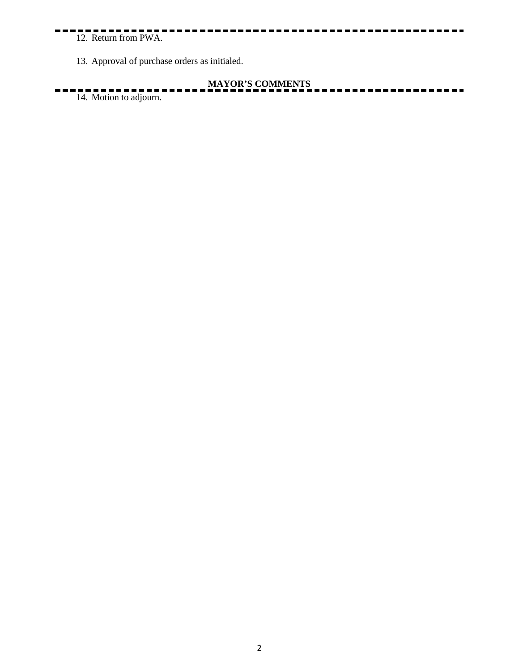## 12. Return from PWA.

13. Approval of purchase orders as initialed.

# **MAYOR'S COMMENTS**

 $14.$  Motion to adjourn.